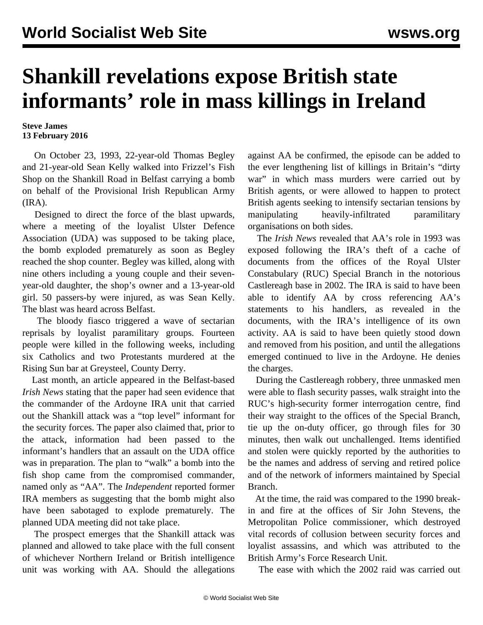## **Shankill revelations expose British state informants' role in mass killings in Ireland**

## **Steve James 13 February 2016**

 On October 23, 1993, 22-year-old Thomas Begley and 21-year-old Sean Kelly walked into Frizzel's Fish Shop on the Shankill Road in Belfast carrying a bomb on behalf of the Provisional Irish Republican Army (IRA).

 Designed to direct the force of the blast upwards, where a meeting of the loyalist Ulster Defence Association (UDA) was supposed to be taking place, the bomb exploded prematurely as soon as Begley reached the shop counter. Begley was killed, along with nine others including a young couple and their sevenyear-old daughter, the shop's owner and a 13-year-old girl. 50 passers-by were injured, as was Sean Kelly. The blast was heard across Belfast.

 The bloody fiasco triggered a wave of sectarian reprisals by loyalist paramilitary groups. Fourteen people were killed in the following weeks, including six Catholics and two Protestants murdered at the Rising Sun bar at Greysteel, County Derry.

 Last month, an article appeared in the Belfast-based *Irish News* stating that the paper had seen evidence that the commander of the Ardoyne IRA unit that carried out the Shankill attack was a "top level" informant for the security forces. The paper also claimed that, prior to the attack, information had been passed to the informant's handlers that an assault on the UDA office was in preparation. The plan to "walk" a bomb into the fish shop came from the compromised commander, named only as "AA". The *Independent* reported former IRA members as suggesting that the bomb might also have been sabotaged to explode prematurely. The planned UDA meeting did not take place.

 The prospect emerges that the Shankill attack was planned and allowed to take place with the full consent of whichever Northern Ireland or British intelligence unit was working with AA. Should the allegations

against AA be confirmed, the episode can be added to the ever lengthening list of killings in Britain's "dirty war" in which mass murders were carried out by British agents, or were allowed to happen to protect British agents seeking to intensify sectarian tensions by manipulating heavily-infiltrated paramilitary organisations on both sides.

 The *Irish News* revealed that AA's role in 1993 was exposed following the IRA's theft of a cache of documents from the offices of the Royal Ulster Constabulary (RUC) Special Branch in the notorious Castlereagh base in 2002. The IRA is said to have been able to identify AA by cross referencing AA's statements to his handlers, as revealed in the documents, with the IRA's intelligence of its own activity. AA is said to have been quietly stood down and removed from his position, and until the allegations emerged continued to live in the Ardoyne. He denies the charges.

 During the Castlereagh robbery, three unmasked men were able to flash security passes, walk straight into the RUC's high-security former interrogation centre, find their way straight to the offices of the Special Branch, tie up the on-duty officer, go through files for 30 minutes, then walk out unchallenged. Items identified and stolen were quickly reported by the authorities to be the names and address of serving and retired police and of the network of informers maintained by Special Branch.

 At the time, the raid was compared to the 1990 breakin and fire at the offices of Sir John Stevens, the Metropolitan Police commissioner, which destroyed vital records of collusion between security forces and loyalist assassins, and which was attributed to the British Army's Force Research Unit.

The ease with which the 2002 raid was carried out